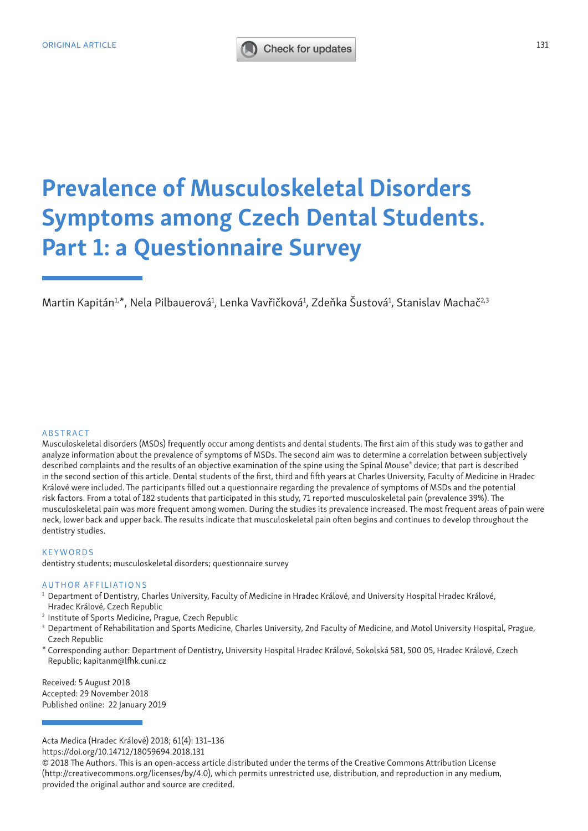# ORIGINAL ARTICLE 131

# Prevalence of Musculoskeletal Disorders Symptoms among Czech Dental Students. Part 1: a Questionnaire Survey

Martin Kapitán<sup>1,\*</sup>, Nela Pilbauerová<sup>1</sup>, Lenka Vavřičková<sup>1</sup>, Zdeňka Šustová<sup>1</sup>, Stanislav Machač<sup>2,3</sup>

#### ABSTRACT

Musculoskeletal disorders (MSDs) frequently occur among dentists and dental students. The first aim of this study was to gather and analyze information about the prevalence of symptoms of MSDs. The second aim was to determine a correlation between subjectively described complaints and the results of an objective examination of the spine using the Spinal Mouse® device; that part is described in the second section of this article. Dental students of the first, third and fifth years at Charles University, Faculty of Medicine in Hradec Králové were included. The participants filled out a questionnaire regarding the prevalence of symptoms of MSDs and the potential risk factors. From a total of 182 students that participated in this study, 71 reported musculoskeletal pain (prevalence 39%). The musculoskeletal pain was more frequent among women. During the studies its prevalence increased. The most frequent areas of pain were neck, lower back and upper back. The results indicate that musculoskeletal pain often begins and continues to develop throughout the dentistry studies.

#### KEYWORDS

dentistry students; musculoskeletal disorders; questionnaire survey

#### AUTHOR AFFILIATIONS

- <sup>1</sup> Department of Dentistry, Charles University, Faculty of Medicine in Hradec Králové, and University Hospital Hradec Králové, Hradec Králové, Czech Republic
- <sup>2</sup> Institute of Sports Medicine, Prague, Czech Republic
- <sup>3</sup> Department of Rehabilitation and Sports Medicine, Charles University, 2nd Faculty of Medicine, and Motol University Hospital, Prague, Czech Republic
- \* Corresponding author: Department of Dentistry, University Hospital Hradec Králové, Sokolská 581, 500 05, Hradec Králové, Czech Republic; kapitanm@lfhk.cuni.cz

Received: 5 August 2018 Accepted: 29 November 2018 Published online: 22 January 2019

https://doi.org/10.14712/18059694.2018.131

Acta Medica (Hradec Králové) 2018; 61(4): 131–136

<sup>© 2018</sup> The Authors. This is an open-access article distributed under the terms of the Creative Commons Attribution License (http://creativecommons.org/licenses/by/4.0), which permits unrestricted use, distribution, and reproduction in any medium, provided the original author and source are credited.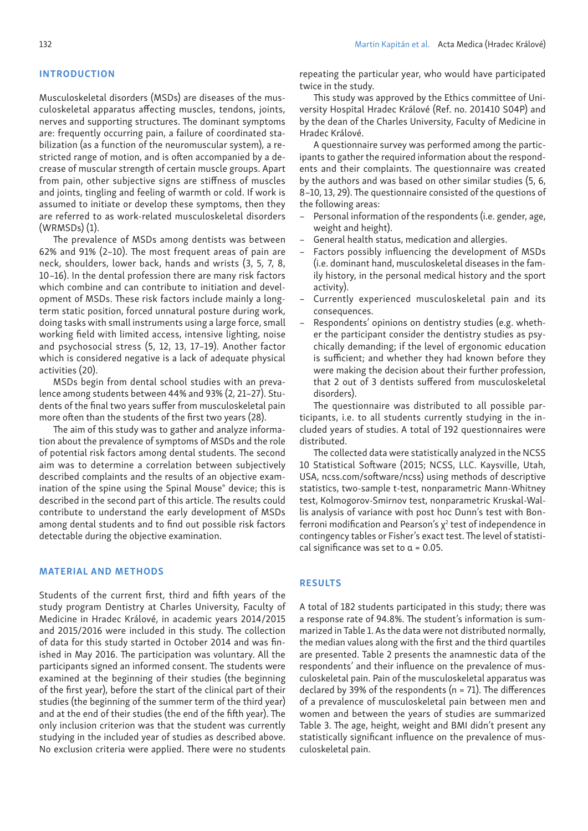#### INTRODUCTION

Musculoskeletal disorders (MSDs) are diseases of the musculoskeletal apparatus affecting muscles, tendons, joints, nerves and supporting structures. The dominant symptoms are: frequently occurring pain, a failure of coordinated stabilization (as a function of the neuromuscular system), a restricted range of motion, and is often accompanied by a decrease of muscular strength of certain muscle groups. Apart from pain, other subjective signs are stiffness of muscles and joints, tingling and feeling of warmth or cold. If work is assumed to initiate or develop these symptoms, then they are referred to as work-related musculoskeletal disorders (WRMSDs) (1).

The prevalence of MSDs among dentists was between 62% and 91% (2–10). The most frequent areas of pain are neck, shoulders, lower back, hands and wrists (3, 5, 7, 8, 10–16). In the dental profession there are many risk factors which combine and can contribute to initiation and development of MSDs. These risk factors include mainly a longterm static position, forced unnatural posture during work, doing tasks with small instruments using a large force, small working field with limited access, intensive lighting, noise and psychosocial stress (5, 12, 13, 17–19). Another factor which is considered negative is a lack of adequate physical activities (20).

MSDs begin from dental school studies with an prevalence among students between 44% and 93% (2, 21–27). Students of the final two years suffer from musculoskeletal pain more often than the students of the first two years (28).

The aim of this study was to gather and analyze information about the prevalence of symptoms of MSDs and the role of potential risk factors among dental students. The second aim was to determine a correlation between subjectively described complaints and the results of an objective examination of the spine using the Spinal Mouse® device; this is described in the second part of this article. The results could contribute to understand the early development of MSDs among dental students and to find out possible risk factors detectable during the objective examination.

### MATERIAL AND METHODS

Students of the current first, third and fifth years of the study program Dentistry at Charles University, Faculty of Medicine in Hradec Králové, in academic years 2014/2015 and 2015/2016 were included in this study. The collection of data for this study started in October 2014 and was finished in May 2016. The participation was voluntary. All the participants signed an informed consent. The students were examined at the beginning of their studies (the beginning of the first year), before the start of the clinical part of their studies (the beginning of the summer term of the third year) and at the end of their studies (the end of the fifth year). The only inclusion criterion was that the student was currently studying in the included year of studies as described above. No exclusion criteria were applied. There were no students

repeating the particular year, who would have participated twice in the study.

This study was approved by the Ethics committee of University Hospital Hradec Králové (Ref. no. 201410 S04P) and by the dean of the Charles University, Faculty of Medicine in Hradec Králové.

A questionnaire survey was performed among the participants to gather the required information about the respondents and their complaints. The questionnaire was created by the authors and was based on other similar studies (5, 6, 8–10, 13, 29). The questionnaire consisted of the questions of the following areas:

- Personal information of the respondents (i.e. gender, age, weight and height).
- General health status, medication and allergies.
- Factors possibly influencing the development of MSDs (i.e. dominant hand, musculoskeletal diseases in the family history, in the personal medical history and the sport activity).
- Currently experienced musculoskeletal pain and its consequences.
- Respondents' opinions on dentistry studies (e.g. whether the participant consider the dentistry studies as psychically demanding; if the level of ergonomic education is sufficient; and whether they had known before they were making the decision about their further profession, that 2 out of 3 dentists suffered from musculoskeletal disorders).

The questionnaire was distributed to all possible participants, i.e. to all students currently studying in the included years of studies. A total of 192 questionnaires were distributed.

The collected data were statistically analyzed in the NCSS 10 Statistical Software (2015; NCSS, LLC. Kaysville, Utah, USA, ncss.com/software/ncss) using methods of descriptive statistics, two-sample t-test, nonparametric Mann-Whitney test, Kolmogorov-Smirnov test, nonparametric Kruskal-Wallis analysis of variance with post hoc Dunn's test with Bonferroni modification and Pearson's  $x^2$  test of independence in contingency tables or Fisher's exact test. The level of statistical significance was set to  $\alpha$  = 0.05.

#### RESULTS

A total of 182 students participated in this study; there was a response rate of 94.8%. The student's information is summarized in Table 1. As the data were not distributed normally, the median values along with the first and the third quartiles are presented. Table 2 presents the anamnestic data of the respondents' and their influence on the prevalence of musculoskeletal pain. Pain of the musculoskeletal apparatus was declared by 39% of the respondents (n = 71). The differences of a prevalence of musculoskeletal pain between men and women and between the years of studies are summarized Table 3. The age, height, weight and BMI didn't present any statistically significant influence on the prevalence of musculoskeletal pain.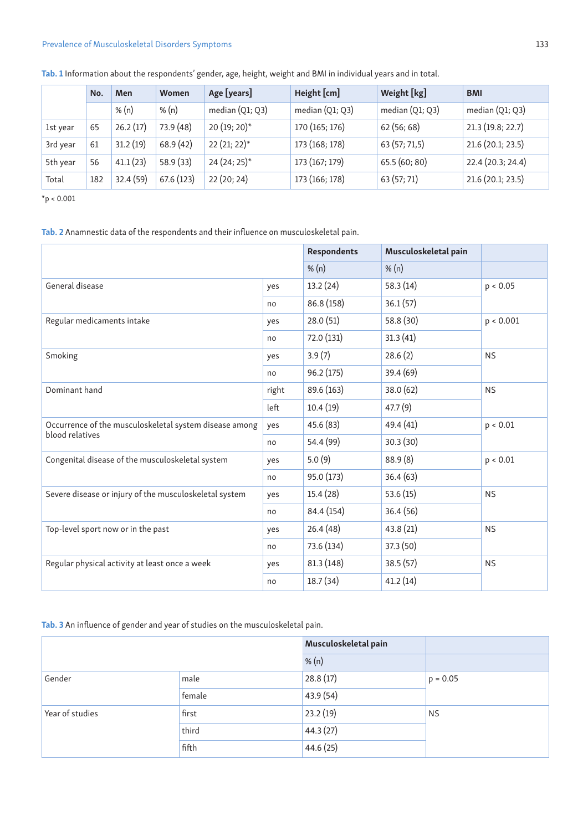# Prevalence of Musculoskeletal Disorders Symptoms 133

|          | No. | Men       | Women      | Age [years]       | Height [cm]       | Weight [kg]       | <b>BMI</b>        |
|----------|-----|-----------|------------|-------------------|-------------------|-------------------|-------------------|
|          |     | % $(n)$   | % $(n)$    | median $(Q1; Q3)$ | median $(Q1; Q3)$ | median $(Q1; Q3)$ | median $(Q1; Q3)$ |
| 1st year | 65  | 26.2(17)  | 73.9 (48)  | 20 (19; 20)*      | 170 (165; 176)    | 62(56; 68)        | 21.3(19.8; 22.7)  |
| 3rd year | 61  | 31.2(19)  | 68.9(42)   | 22 (21; 22)*      | 173 (168; 178)    | 63 (57; 71,5)     | 21.6 (20.1; 23.5) |
| 5th year | 56  | 41.1(23)  | 58.9 (33)  | 24 (24; 25)*      | 173 (167; 179)    | 65.5(60; 80)      | 22.4 (20.3; 24.4) |
| Total    | 182 | 32.4 (59) | 67.6 (123) | 22(20; 24)        | 173 (166; 178)    | 63 (57; 71)       | 21.6 (20.1; 23.5) |

Tab. 1 Information about the respondents' gender, age, height, weight and BMI in individual years and in total.

 $*$ p < 0.001

Tab. 2 Anamnestic data of the respondents and their influence on musculoskeletal pain.

|                                                        |         | <b>Respondents</b> | Musculoskeletal pain |           |  |
|--------------------------------------------------------|---------|--------------------|----------------------|-----------|--|
|                                                        | % $(n)$ | % $(n)$            |                      |           |  |
| General disease<br>yes                                 |         | 13.2(24)           | 58.3(14)             | p < 0.05  |  |
|                                                        | no      | 86.8 (158)         | 36.1(57)             |           |  |
| Regular medicaments intake<br>yes                      |         | 28.0(51)           | 58.8 (30)            | p < 0.001 |  |
|                                                        | no      | 72.0 (131)         | 31.3(41)             |           |  |
| Smoking                                                |         | 3.9(7)             | 28.6(2)              | <b>NS</b> |  |
|                                                        | no      | 96.2(175)          | 39.4(69)             |           |  |
| Dominant hand                                          | right   | 89.6 (163)         | 38.0 (62)            | <b>NS</b> |  |
|                                                        | left    | 10.4(19)           | 47.7(9)              |           |  |
| Occurrence of the musculoskeletal system disease among | yes     | 45.6 (83)          | 49.4 (41)            | p < 0.01  |  |
| blood relatives                                        | no      | 54.4 (99)          | 30.3(30)             |           |  |
| Congenital disease of the musculoskeletal system       | yes     | 5.0(9)             | 88.9(8)              | p < 0.01  |  |
|                                                        | no      | 95.0 (173)         | 36.4(63)             |           |  |
| Severe disease or injury of the musculoskeletal system | yes     | 15.4(28)           | 53.6(15)             | <b>NS</b> |  |
|                                                        | no      | 84.4 (154)         | 36.4(56)             |           |  |
| Top-level sport now or in the past                     | yes     | 26.4(48)           | 43.8 (21)            | <b>NS</b> |  |
|                                                        | no      | 73.6 (134)         | 37.3(50)             |           |  |
| Regular physical activity at least once a week         | yes     | 81.3(148)          | 38.5(57)             | <b>NS</b> |  |
|                                                        | no      | 18.7(34)           | 41.2(14)             |           |  |

Tab. 3 An influence of gender and year of studies on the musculoskeletal pain.

|                 |        | Musculoskeletal pain |            |  |
|-----------------|--------|----------------------|------------|--|
|                 |        | % $(n)$              |            |  |
| Gender          | male   | 28.8(17)             | $p = 0.05$ |  |
|                 | female | 43.9 (54)            |            |  |
| Year of studies | first  | 23.2(19)             | <b>NS</b>  |  |
|                 | third  | 44.3(27)             |            |  |
|                 | fifth  | 44.6(25)             |            |  |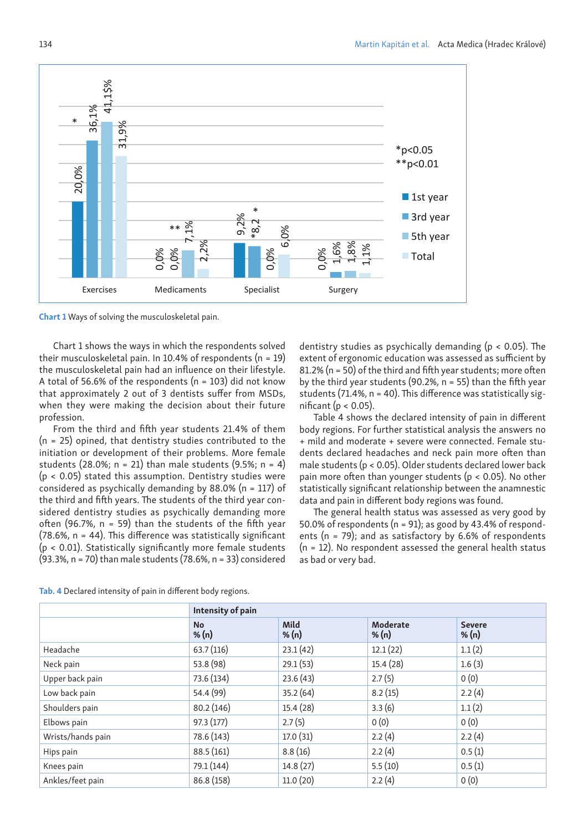

Chart 1 Ways of solving the musculoskeletal pain.

Chart 1 shows the ways in which the respondents solved their musculoskeletal pain. In 10.4% of respondents ( $n = 19$ ) the musculoskeletal pain had an influence on their lifestyle. A total of 56.6% of the respondents ( $n = 103$ ) did not know that approximately 2 out of 3 dentists suffer from MSDs, when they were making the decision about their future profession.

From the third and fifth year students 21.4% of them  $(n = 25)$  opined, that dentistry studies contributed to the initiation or development of their problems. More female students (28.0%;  $n = 21$ ) than male students (9.5%;  $n = 4$ )  $(p < 0.05)$  stated this assumption. Dentistry studies were considered as psychically demanding by 88.0% (n = 117) of the third and fifth years. The students of the third year considered dentistry studies as psychically demanding more often (96.7%,  $n = 59$ ) than the students of the fifth year (78.6%, n = 44). This difference was statistically significant (p < 0.01). Statistically significantly more female students (93.3%, n = 70) than male students (78.6%, n = 33) considered

dentistry studies as psychically demanding (p < 0.05). The extent of ergonomic education was assessed as sufficient by 81.2% (n = 50) of the third and fifth year students; more often by the third year students (90.2%,  $n = 55$ ) than the fifth year students (71.4%, n = 40). This difference was statistically significant ( $p < 0.05$ ).

Table 4 shows the declared intensity of pain in different body regions. For further statistical analysis the answers no + mild and moderate + severe were connected. Female students declared headaches and neck pain more often than male students (p < 0.05). Older students declared lower back pain more often than younger students (p < 0.05). No other statistically significant relationship between the anamnestic data and pain in different body regions was found.

The general health status was assessed as very good by 50.0% of respondents ( $n = 91$ ); as good by 43.4% of respondents ( $n = 79$ ); and as satisfactory by 6.6% of respondents (n = 12). No respondent assessed the general health status as bad or very bad.

| Tab. 4 Declared intensity of pain in different body regions. |  |  |  |
|--------------------------------------------------------------|--|--|--|
|--------------------------------------------------------------|--|--|--|

|                   | Intensity of pain    |                 |                     |                        |  |
|-------------------|----------------------|-----------------|---------------------|------------------------|--|
|                   | <b>No</b><br>% $(n)$ | Mild<br>% $(n)$ | Moderate<br>% $(n)$ | <b>Severe</b><br>% (n) |  |
| Headache          | 63.7(116)            | 23.1(42)        | 12.1(22)            | 1.1(2)                 |  |
| Neck pain         | 53.8 (98)            | 29.1(53)        | 15.4(28)            | 1.6(3)                 |  |
| Upper back pain   | 73.6 (134)           | 23.6(43)        | 2.7(5)              | 0(0)                   |  |
| Low back pain     | 54.4 (99)            | 35.2(64)        | 8.2(15)             | 2.2(4)                 |  |
| Shoulders pain    | 80.2(146)            | 15.4(28)        | 3.3(6)              | 1.1(2)                 |  |
| Elbows pain       | 97.3(177)            | 2.7(5)          | 0(0)                | 0(0)                   |  |
| Wrists/hands pain | 78.6 (143)           | 17.0(31)        | 2.2(4)              | 2.2(4)                 |  |
| Hips pain         | 88.5(161)            | 8.8(16)         | 2.2(4)              | 0.5(1)                 |  |
| Knees pain        | 79.1 (144)           | 14.8(27)        | 5.5(10)             | 0.5(1)                 |  |
| Ankles/feet pain  | 86.8(158)            | 11.0(20)        | 2.2(4)              | 0(0)                   |  |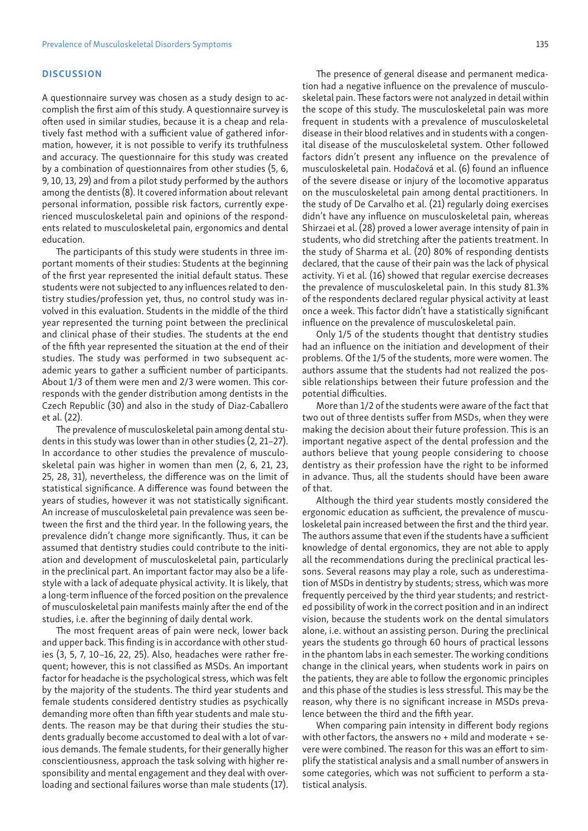#### **DISCUSSION**

A questionnaire survey was chosen as a study design to accomplish the first aim of this study. A questionnaire survey is often used in similar studies, because it is a cheap and relatively fast method with a sufficient value of gathered information, however, it is not possible to verify its truthfulness and accuracy. The questionnaire for this study was created by a combination of questionnaires from other studies (5, 6, 9, 10, 13, 29) and from a pilot study performed by the authors among the dentists (8). It covered information about relevant personal information, possible risk factors, currently experienced musculoskeletal pain and opinions of the respondents related to musculoskeletal pain, ergonomics and dental education.

The participants of this study were students in three important moments of their studies: Students at the beginning of the first year represented the initial default status. These students were not subjected to any influences related to dentistry studies/profession yet, thus, no control study was involved in this evaluation. Students in the middle of the third year represented the turning point between the preclinical and clinical phase of their studies. The students at the end of the fifth year represented the situation at the end of their studies. The study was performed in two subsequent academic years to gather a sufficient number of participants. About 1/3 of them were men and 2/3 were women. This corresponds with the gender distribution among dentists in the Czech Republic (30) and also in the study of Diaz-Caballero et al. (22).

The prevalence of musculoskeletal pain among dental students in this study was lower than in other studies (2, 21–27). In accordance to other studies the prevalence of musculoskeletal pain was higher in women than men (2, 6, 21, 23, 25, 28, 31), nevertheless, the difference was on the limit of statistical significance. A difference was found between the years of studies, however it was not statistically significant. An increase of musculoskeletal pain prevalence was seen between the first and the third year. In the following years, the prevalence didn't change more significantly. Thus, it can be assumed that dentistry studies could contribute to the initiation and development of musculoskeletal pain, particularly in the preclinical part. An important factor may also be a lifestyle with a lack of adequate physical activity. It is likely, that a long-term influence of the forced position on the prevalence of musculoskeletal pain manifests mainly after the end of the studies, i.e. after the beginning of daily dental work.

The most frequent areas of pain were neck, lower back and upper back. This finding is in accordance with other studies (3, 5, 7, 10–16, 22, 25). Also, headaches were rather frequent; however, this is not classified as MSDs. An important factor for headache is the psychological stress, which was felt by the majority of the students. The third year students and female students considered dentistry studies as psychically demanding more often than fifth year students and male students. The reason may be that during their studies the students gradually become accustomed to deal with a lot of various demands. The female students, for their generally higher conscientiousness, approach the task solving with higher responsibility and mental engagement and they deal with overloading and sectional failures worse than male students (17).

The presence of general disease and permanent medication had a negative influence on the prevalence of musculoskeletal pain. These factors were not analyzed in detail within the scope of this study. The musculoskeletal pain was more frequent in students with a prevalence of musculoskeletal disease in their blood relatives and in students with a congenital disease of the musculoskeletal system. Other followed factors didn't present any influence on the prevalence of musculoskeletal pain. Hodačová et al. (6) found an influence of the severe disease or injury of the locomotive apparatus on the musculoskeletal pain among dental practitioners. In the study of De Carvalho et al. (21) regularly doing exercises didn't have any influence on musculoskeletal pain, whereas Shirzaei et al. (28) proved a lower average intensity of pain in students, who did stretching after the patients treatment. In the study of Sharma et al. (20) 80% of responding dentists declared, that the cause of their pain was the lack of physical activity. Yi et al. (16) showed that regular exercise decreases the prevalence of musculoskeletal pain. In this study 81.3% of the respondents declared regular physical activity at least once a week. This factor didn't have a statistically significant influence on the prevalence of musculoskeletal pain.

Only 1/5 of the students thought that dentistry studies had an influence on the initiation and development of their problems. Of the 1/5 of the students, more were women. The authors assume that the students had not realized the possible relationships between their future profession and the potential difficulties.

More than 1/2 of the students were aware of the fact that two out of three dentists suffer from MSDs, when they were making the decision about their future profession. This is an important negative aspect of the dental profession and the authors believe that young people considering to choose dentistry as their profession have the right to be informed in advance. Thus, all the students should have been aware of that.

Although the third year students mostly considered the ergonomic education as sufficient, the prevalence of musculoskeletal pain increased between the first and the third year. The authors assume that even if the students have a sufficient knowledge of dental ergonomics, they are not able to apply all the recommendations during the preclinical practical lessons. Several reasons may play a role, such as underestimation of MSDs in dentistry by students; stress, which was more frequently perceived by the third year students; and restricted possibility of work in the correct position and in an indirect vision, because the students work on the dental simulators alone, i.e. without an assisting person. During the preclinical years the students go through 60 hours of practical lessons in the phantom labs in each semester. The working conditions change in the clinical years, when students work in pairs on the patients, they are able to follow the ergonomic principles and this phase of the studies is less stressful. This may be the reason, why there is no significant increase in MSDs prevalence between the third and the fifth year.

When comparing pain intensity in different body regions with other factors, the answers no + mild and moderate + severe were combined. The reason for this was an effort to simplify the statistical analysis and a small number of answers in some categories, which was not sufficient to perform a statistical analysis.